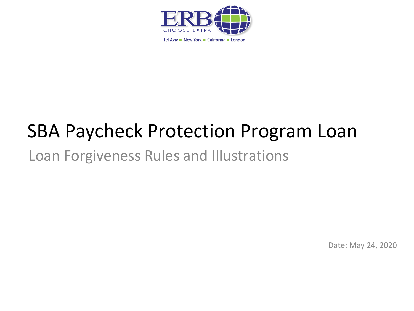

# SBA Paycheck Protection Program Loan

### Loan Forgiveness Rules and Illustrations

Date: May 24, 2020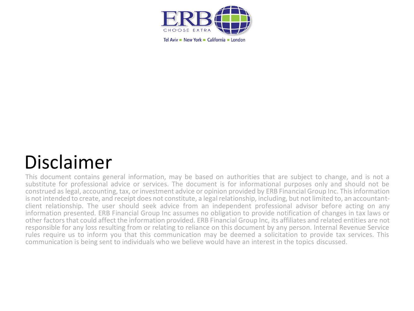

## Disclaimer

This document contains general information, may be based on authorities that are subject to change, and is not a substitute for professional advice or services. The document is for informational purposes only and should not be construed as legal, accounting, tax, or investment advice or opinion provided by ERB Financial Group Inc. This information is not intended to create, and receipt does not constitute, a legal relationship, including, but not limited to, an accountantclient relationship. The user should seek advice from an independent professional advisor before acting on any information presented. ERB Financial Group Inc assumes no obligation to provide notification of changes in tax laws or other factors that could affect the information provided. ERB Financial Group Inc, its affiliates and related entities are not responsible for any loss resulting from or relating to reliance on this document by any person. Internal Revenue Service rules require us to inform you that this communication may be deemed a solicitation to provide tax services. This communication is being sent to individuals who we believe would have an interest in the topics discussed.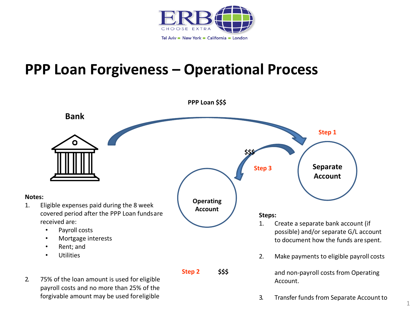

### **PPP Loan Forgiveness – Operational Process**

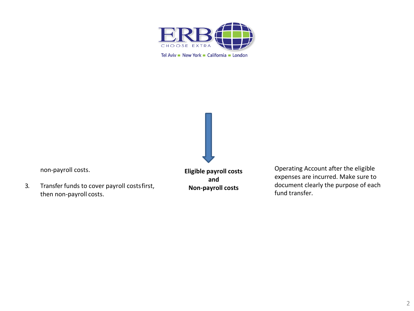

non-payroll costs.

3. Transfer funds to cover payroll costsfirst, then non-payroll costs.

**Eligible payroll costs and Non-payroll costs**

Operating Account after the eligible expenses are incurred. Make sure to document clearly the purpose of each fund transfer.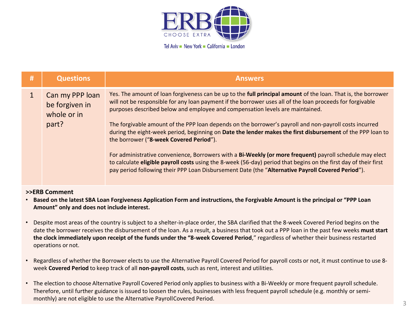

| # | <b>Questions</b>                                          | <b>Answers</b>                                                                                                                                                                                                                                                                                                                                                                                                                                                                                                                                                                                                                                                                                                                                                                                                                                                                                                      |
|---|-----------------------------------------------------------|---------------------------------------------------------------------------------------------------------------------------------------------------------------------------------------------------------------------------------------------------------------------------------------------------------------------------------------------------------------------------------------------------------------------------------------------------------------------------------------------------------------------------------------------------------------------------------------------------------------------------------------------------------------------------------------------------------------------------------------------------------------------------------------------------------------------------------------------------------------------------------------------------------------------|
|   | Can my PPP loan<br>be forgiven in<br>whole or in<br>part? | Yes. The amount of loan forgiveness can be up to the full principal amount of the loan. That is, the borrower<br>will not be responsible for any loan payment if the borrower uses all of the loan proceeds for forgivable<br>purposes described below and employee and compensation levels are maintained.<br>The forgivable amount of the PPP loan depends on the borrower's payroll and non-payroll costs incurred<br>during the eight-week period, beginning on Date the lender makes the first disbursement of the PPP loan to<br>the borrower ("8-week Covered Period").<br>For administrative convenience, Borrowers with a Bi-Weekly (or more frequent) payroll schedule may elect<br>to calculate eligible payroll costs using the 8-week (56-day) period that begins on the first day of their first<br>pay period following their PPP Loan Disbursement Date (the "Alternative Payroll Covered Period"). |

- **Based on the latest SBA Loan Forgiveness Application Form and instructions, the Forgivable Amount is the principal or "PPP Loan Amount" only and does not include interest.**
- Despite most areas of the country is subject to a shelter-in-place order, the SBA clarified that the 8-week Covered Period begins on the date the borrower receives the disbursement of the loan. As a result, a business that took out a PPP loan in the past few weeks **must start the clock immediately upon receipt of the funds under the "8-week Covered Period**," regardless of whether their business restarted operations or not.
- Regardless of whether the Borrower elects to use the Alternative Payroll Covered Period for payroll costs or not, it must continue to use 8 week **Covered Period** to keep track of all **non-payroll costs**, such as rent, interest and utilities.
- The election to choose Alternative Payroll Covered Period only applies to business with a Bi-Weekly or more frequent payroll schedule. Therefore, until further guidance is issued to loosen the rules, businesses with less frequent payroll schedule (e.g. monthly or semimonthly) are not eligible to use the Alternative PayrollCovered Period.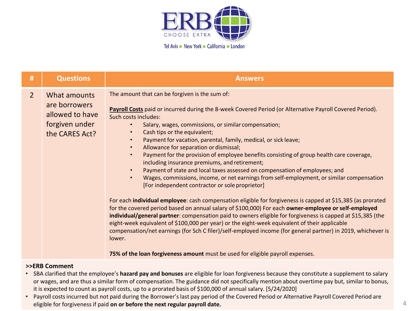

| The amount that can be forgiven is the sum of:<br>$\overline{2}$<br>What amounts<br>are borrowers                                                                                                                                                                                                                                                                                                                                                                                                                                                                                                                                                                                                                                                                                                                                                                                                                                                                                                                                                                                                                                                                                                                                                                                                                                                                                                                                                                                            |  |
|----------------------------------------------------------------------------------------------------------------------------------------------------------------------------------------------------------------------------------------------------------------------------------------------------------------------------------------------------------------------------------------------------------------------------------------------------------------------------------------------------------------------------------------------------------------------------------------------------------------------------------------------------------------------------------------------------------------------------------------------------------------------------------------------------------------------------------------------------------------------------------------------------------------------------------------------------------------------------------------------------------------------------------------------------------------------------------------------------------------------------------------------------------------------------------------------------------------------------------------------------------------------------------------------------------------------------------------------------------------------------------------------------------------------------------------------------------------------------------------------|--|
| Payroll Costs paid or incurred during the 8-week Covered Period (or Alternative Payroll Covered Period).<br>allowed to have<br>Such costs includes:<br>forgiven under<br>Salary, wages, commissions, or similar compensation;<br>Cash tips or the equivalent;<br>the CARES Act?<br>Payment for vacation, parental, family, medical, or sick leave;<br>$\bullet$<br>Allowance for separation or dismissal;<br>$\bullet$<br>Payment for the provision of employee benefits consisting of group health care coverage,<br>$\bullet$<br>including insurance premiums, and retirement;<br>Payment of state and local taxes assessed on compensation of employees; and<br>$\bullet$<br>Wages, commissions, income, or net earnings from self-employment, or similar compensation<br>$\bullet$<br>[For independent contractor or sole proprietor]<br>For each individual employee: cash compensation eligible for forgiveness is capped at \$15,385 (as prorated<br>for the covered period based on annual salary of \$100,000) For each owner-employee or self-employed<br>individual/general partner: compensation paid to owners eligible for forgiveness is capped at \$15,385 (the<br>eight-week equivalent of \$100,000 per year) or the eight-week equivalent of their applicable<br>compensation/net earnings (for Sch C filer)/self-employed income (for general partner) in 2019, whichever is<br>lower.<br>75% of the loan forgiveness amount must be used for eligible payroll expenses. |  |

- SBA clarified that the employee's **hazard pay and bonuses** are eligible for loan forgiveness because they constitute a supplement to salary or wages, and are thus a similar form of compensation. The guidance did not specifically mention about overtime pay but, similar to bonus, it is expected to count as payroll costs, up to a prorated basis of \$100,000 of annual salary. [5/24/2020]
- Payroll costsincurred but not paid during the Borrower's last pay period of the Covered Period or Alternative Payroll Covered Period are eligible for forgiveness if paid **on or before the next regular payroll date.**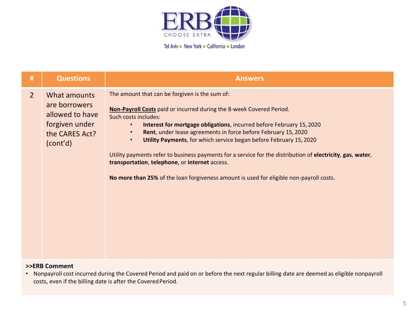

| #              | <b>Questions</b>                                                                                 | <b>Answers</b>                                                                                                                                                                                                                                                                                                                                                                                                                                                                                                                                                                                                                                                   |
|----------------|--------------------------------------------------------------------------------------------------|------------------------------------------------------------------------------------------------------------------------------------------------------------------------------------------------------------------------------------------------------------------------------------------------------------------------------------------------------------------------------------------------------------------------------------------------------------------------------------------------------------------------------------------------------------------------------------------------------------------------------------------------------------------|
| $\overline{2}$ | What amounts<br>are borrowers<br>allowed to have<br>forgiven under<br>the CARES Act?<br>(cont'd) | The amount that can be forgiven is the sum of:<br>Non-Payroll Costs paid or incurred during the 8-week Covered Period.<br>Such costs includes:<br>Interest for mortgage obligations, incurred before February 15, 2020<br>$\bullet$<br>Rent, under lease agreements in force before February 15, 2020<br>$\bullet$<br>Utility Payments, for which service began before February 15, 2020<br>$\bullet$<br>Utility payments refer to business payments for a service for the distribution of electricity, gas, water,<br>transportation, telephone, or internet access.<br>No more than 25% of the loan forgiveness amount is used for eligible non-payroll costs. |

• Nonpayroll cost incurred during the Covered Period and paid on or before the next regular billing date are deemed as eligible nonpayroll costs, even if the billing date is after the Covered Period.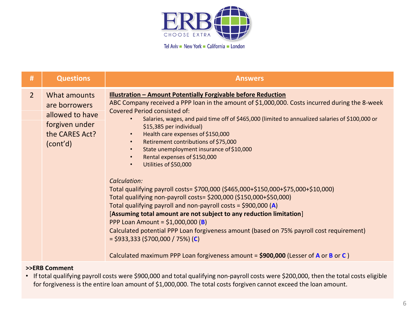

| #           | <b>Questions</b>                                                                                 | <b>Answers</b>                                                                                                                                                                                                                                                                                                                                                                                                                                                                                                                                                                                                                                                                                                                                                                                                                                                                                                                                                                                                                                                                         |
|-------------|--------------------------------------------------------------------------------------------------|----------------------------------------------------------------------------------------------------------------------------------------------------------------------------------------------------------------------------------------------------------------------------------------------------------------------------------------------------------------------------------------------------------------------------------------------------------------------------------------------------------------------------------------------------------------------------------------------------------------------------------------------------------------------------------------------------------------------------------------------------------------------------------------------------------------------------------------------------------------------------------------------------------------------------------------------------------------------------------------------------------------------------------------------------------------------------------------|
| $2^{\circ}$ | What amounts<br>are borrowers<br>allowed to have<br>forgiven under<br>the CARES Act?<br>(cont'd) | <b>Illustration - Amount Potentially Forgivable before Reduction</b><br>ABC Company received a PPP loan in the amount of \$1,000,000. Costs incurred during the 8-week<br>Covered Period consisted of:<br>Salaries, wages, and paid time off of \$465,000 (limited to annualized salaries of \$100,000 or<br>\$15,385 per individual)<br>Health care expenses of \$150,000<br>$\bullet$<br>Retirement contributions of \$75,000<br>$\bullet$<br>State unemployment insurance of \$10,000<br>$\bullet$<br>Rental expenses of \$150,000<br>$\bullet$<br>Utilities of \$50,000<br>$\bullet$<br>Calculation:<br>Total qualifying payroll costs= \$700,000 (\$465,000+\$150,000+\$75,000+\$10,000)<br>Total qualifying non-payroll costs= \$200,000 (\$150,000+\$50,000)<br>Total qualifying payroll and non-payroll costs = $$900,000$ (A)<br>[Assuming total amount are not subject to any reduction limitation]<br>PPP Loan Amount = $$1,000,000$ (B)<br>Calculated potential PPP Loan forgiveness amount (based on 75% payroll cost requirement)<br>$=$ \$933,333 (\$700,000 / 75%) (C) |
|             |                                                                                                  | Calculated maximum PPP Loan forgiveness amount = \$900,000 (Lesser of A or B or C)                                                                                                                                                                                                                                                                                                                                                                                                                                                                                                                                                                                                                                                                                                                                                                                                                                                                                                                                                                                                     |

• If total qualifying payroll costs were \$900,000 and total qualifying non-payroll costs were \$200,000, then the total costs eligible for forgiveness is the entire loan amount of \$1,000,000. The total costs forgiven cannot exceed the loan amount.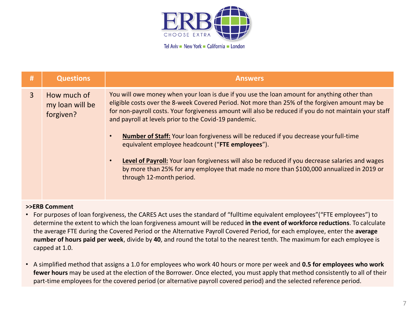

| # | <b>Questions</b>                            | <b>Answers</b>                                                                                                                                                                                                                                                                                                                                                                                                                                                                                                                                                                                                                                                                                                                                       |
|---|---------------------------------------------|------------------------------------------------------------------------------------------------------------------------------------------------------------------------------------------------------------------------------------------------------------------------------------------------------------------------------------------------------------------------------------------------------------------------------------------------------------------------------------------------------------------------------------------------------------------------------------------------------------------------------------------------------------------------------------------------------------------------------------------------------|
| 3 | How much of<br>my loan will be<br>forgiven? | You will owe money when your loan is due if you use the loan amount for anything other than<br>eligible costs over the 8-week Covered Period. Not more than 25% of the forgiven amount may be<br>for non-payroll costs. Your forgiveness amount will also be reduced if you do not maintain your staff<br>and payroll at levels prior to the Covid-19 pandemic.<br>Number of Staff: Your loan forgiveness will be reduced if you decrease your full-time<br>$\bullet$<br>equivalent employee headcount ("FTE employees").<br>Level of Payroll: Your loan forgiveness will also be reduced if you decrease salaries and wages<br>by more than 25% for any employee that made no more than \$100,000 annualized in 2019 or<br>through 12-month period. |
|   |                                             |                                                                                                                                                                                                                                                                                                                                                                                                                                                                                                                                                                                                                                                                                                                                                      |

- For purposes of loan forgiveness, the CARES Act uses the standard of "fulltime equivalent employees"("FTE employees") to determine the extent to which the loan forgiveness amount will be reduced **in the event of workforce reductions**. To calculate the average FTE during the Covered Period or the Alternative Payroll Covered Period, for each employee, enter the **average number of hours paid per week**, divide by **40**, and round the total to the nearest tenth. The maximum for each employee is capped at 1.0.
- A simplified method that assigns a 1.0 for employees who work 40 hours or more per week and **0.5 for employees who work fewer hours** may be used at the election of the Borrower. Once elected, you must apply that method consistently to all of their part-time employees for the covered period (or alternative payroll covered period) and the selected reference period.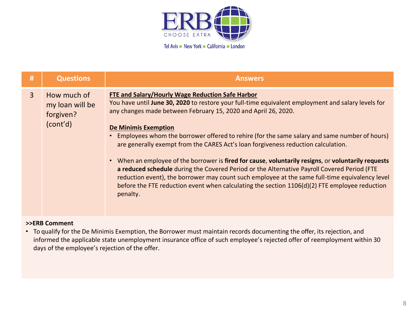

| #            | <b>Questions</b>                                        | <b>Answers</b>                                                                                                                                                                                                                                                                                                                                                                                                                                                                                                                                                                                                                                                                                                                                                                                                                                                    |
|--------------|---------------------------------------------------------|-------------------------------------------------------------------------------------------------------------------------------------------------------------------------------------------------------------------------------------------------------------------------------------------------------------------------------------------------------------------------------------------------------------------------------------------------------------------------------------------------------------------------------------------------------------------------------------------------------------------------------------------------------------------------------------------------------------------------------------------------------------------------------------------------------------------------------------------------------------------|
| $\mathbf{3}$ | How much of<br>my loan will be<br>forgiven?<br>(cont'd) | FTE and Salary/Hourly Wage Reduction Safe Harbor<br>You have until June 30, 2020 to restore your full-time equivalent employment and salary levels for<br>any changes made between February 15, 2020 and April 26, 2020.<br><b>De Minimis Exemption</b><br>Employees whom the borrower offered to rehire (for the same salary and same number of hours)<br>are generally exempt from the CARES Act's loan forgiveness reduction calculation.<br>• When an employee of the borrower is fired for cause, voluntarily resigns, or voluntarily requests<br>a reduced schedule during the Covered Period or the Alternative Payroll Covered Period (FTE<br>reduction event), the borrower may count such employee at the same full-time equivalency level<br>before the FTE reduction event when calculating the section 1106(d)(2) FTE employee reduction<br>penalty. |

• To qualify for the De Minimis Exemption, the Borrower must maintain records documenting the offer, its rejection, and informed the applicable state unemployment insurance office of such employee's rejected offer of reemployment within 30 days of the employee's rejection of the offer.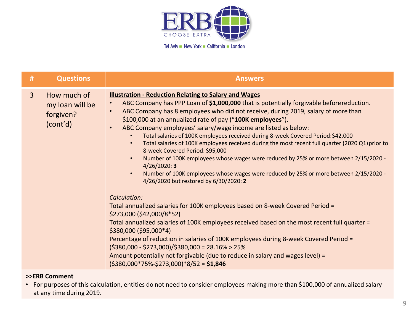

| #            | <b>Questions</b>                                        | <b>Answers</b>                                                                                                                                                                                                                                                                                                                                                                                                                                                                                                                                                                                                                                                                                                                                                                                                                                                                                                                                                                                                                                                                                                                                                                                                                                                                                                                                                                                                                       |
|--------------|---------------------------------------------------------|--------------------------------------------------------------------------------------------------------------------------------------------------------------------------------------------------------------------------------------------------------------------------------------------------------------------------------------------------------------------------------------------------------------------------------------------------------------------------------------------------------------------------------------------------------------------------------------------------------------------------------------------------------------------------------------------------------------------------------------------------------------------------------------------------------------------------------------------------------------------------------------------------------------------------------------------------------------------------------------------------------------------------------------------------------------------------------------------------------------------------------------------------------------------------------------------------------------------------------------------------------------------------------------------------------------------------------------------------------------------------------------------------------------------------------------|
| $\mathbf{3}$ | How much of<br>my loan will be<br>forgiven?<br>(cont'd) | <b>Illustration - Reduction Relating to Salary and Wages</b><br>ABC Company has PPP Loan of \$1,000,000 that is potentially forgivable before reduction.<br>ABC Company has 8 employees who did not receive, during 2019, salary of more than<br>$\bullet$<br>\$100,000 at an annualized rate of pay ("100K employees").<br>ABC Company employees' salary/wage income are listed as below:<br>$\bullet$<br>Total salaries of 100K employees received during 8-week Covered Period: \$42,000<br>Total salaries of 100K employees received during the most recent full quarter (2020 Q1) prior to<br>8-week Covered Period: \$95,000<br>Number of 100K employees whose wages were reduced by 25% or more between 2/15/2020 -<br>$\bullet$<br>4/26/2020:3<br>Number of 100K employees whose wages were reduced by 25% or more between 2/15/2020 -<br>$\bullet$<br>4/26/2020 but restored by 6/30/2020: 2<br>Calculation:<br>Total annualized salaries for 100K employees based on 8-week Covered Period =<br>\$273,000 (\$42,000/8*52)<br>Total annualized salaries of 100K employees received based on the most recent full quarter =<br>\$380,000 (\$95,000*4)<br>Percentage of reduction in salaries of 100K employees during 8-week Covered Period =<br>$(5380,000 - 5273,000)/5380,000 = 28.16% > 25%$<br>Amount potentially not forgivable (due to reduce in salary and wages level) =<br>$(5380,000*75%-5273,000)*8/52 = $1,846$ |

• For purposes of this calculation, entities do not need to consider employees making more than \$100,000 of annualized salary at any time during 2019.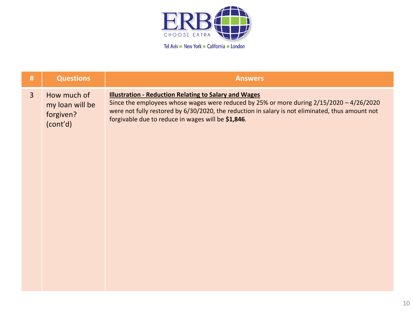

| #              | <b>Questions</b>                                        | <b>Answers</b>                                                                                                                                                                                                                                                                                                     |
|----------------|---------------------------------------------------------|--------------------------------------------------------------------------------------------------------------------------------------------------------------------------------------------------------------------------------------------------------------------------------------------------------------------|
| 3 <sup>2</sup> | How much of<br>my loan will be<br>forgiven?<br>(cont'd) | <b>Illustration - Reduction Relating to Salary and Wages</b><br>Since the employees whose wages were reduced by 25% or more during 2/15/2020 - 4/26/2020<br>were not fully restored by 6/30/2020, the reduction in salary is not eliminated, thus amount not<br>forgivable due to reduce in wages will be \$1,846. |
|                |                                                         |                                                                                                                                                                                                                                                                                                                    |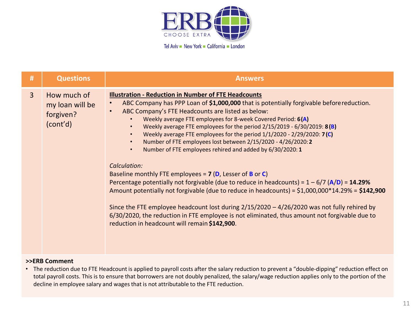

| #              | <b>Questions</b>                                        | <b>Answers</b>                                                                                                                                                                                                                                                                                                                                                                                                                                                                                                                                                                                                                                                                                                                                                                                                                                                                                                                                                                                                                                                                                                                        |
|----------------|---------------------------------------------------------|---------------------------------------------------------------------------------------------------------------------------------------------------------------------------------------------------------------------------------------------------------------------------------------------------------------------------------------------------------------------------------------------------------------------------------------------------------------------------------------------------------------------------------------------------------------------------------------------------------------------------------------------------------------------------------------------------------------------------------------------------------------------------------------------------------------------------------------------------------------------------------------------------------------------------------------------------------------------------------------------------------------------------------------------------------------------------------------------------------------------------------------|
| $\overline{3}$ | How much of<br>my loan will be<br>forgiven?<br>(cont'd) | <b>Illustration - Reduction in Number of FTE Headcounts</b><br>ABC Company has PPP Loan of \$1,000,000 that is potentially forgivable before reduction.<br>ABC Company's FTE Headcounts are listed as below:<br>$\bullet$<br>Weekly average FTE employees for 8-week Covered Period: 6(A)<br>Weekly average FTE employees for the period $2/15/2019 - 6/30/2019$ : 8(B)<br>Weekly average FTE employees for the period $1/1/2020 - 2/29/2020$ : 7(C)<br>Number of FTE employees lost between 2/15/2020 - 4/26/2020:2<br>Number of FTE employees rehired and added by 6/30/2020: 1<br>$\bullet$<br>Calculation:<br>Baseline monthly FTE employees = $7$ (D, Lesser of B or C)<br>Percentage potentially not forgivable (due to reduce in headcounts) = $1 - 6/7$ (A/D) = 14.29%<br>Amount potentially not forgivable (due to reduce in headcounts) = $$1,000,000*14.29% = $142,900$<br>Since the FTE employee headcount lost during $2/15/2020 - 4/26/2020$ was not fully rehired by<br>6/30/2020, the reduction in FTE employee is not eliminated, thus amount not forgivable due to<br>reduction in headcount will remain \$142,900. |

• The reduction due to FTE Headcount is applied to payroll costs after the salary reduction to prevent a "double-dipping" reduction effect on total payroll costs. This is to ensure that borrowers are not doubly penalized, the salary/wage reduction applies only to the portion of the decline in employee salary and wages that is not attributable to the FTE reduction.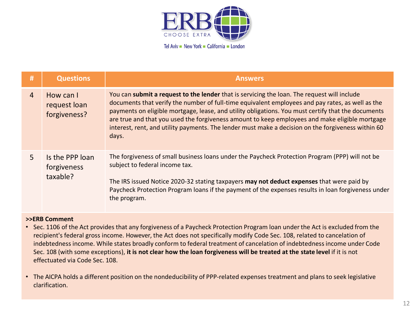

| #              | <b>Questions</b>                           | <b>Answers</b>                                                                                                                                                                                                                                                                                                                                                                                                                                                                                                         |
|----------------|--------------------------------------------|------------------------------------------------------------------------------------------------------------------------------------------------------------------------------------------------------------------------------------------------------------------------------------------------------------------------------------------------------------------------------------------------------------------------------------------------------------------------------------------------------------------------|
| $\overline{4}$ | How can I<br>request loan<br>forgiveness?  | You can submit a request to the lender that is servicing the loan. The request will include<br>documents that verify the number of full-time equivalent employees and pay rates, as well as the<br>payments on eligible mortgage, lease, and utility obligations. You must certify that the documents<br>are true and that you used the forgiveness amount to keep employees and make eligible mortgage<br>interest, rent, and utility payments. The lender must make a decision on the forgiveness within 60<br>days. |
| 5              | Is the PPP loan<br>forgiveness<br>taxable? | The forgiveness of small business loans under the Paycheck Protection Program (PPP) will not be<br>subject to federal income tax.<br>The IRS issued Notice 2020-32 stating taxpayers may not deduct expenses that were paid by<br>Paycheck Protection Program loans if the payment of the expenses results in loan forgiveness under<br>the program.                                                                                                                                                                   |

- Sec. 1106 of the Act provides that any forgiveness of a Paycheck Protection Program loan underthe Act is excluded from the recipient's federal gross income. However, the Act does not specifically modify Code Sec. 108, related to cancelation of indebtedness income. While states broadly conform to federal treatment of cancelation of indebtedness income under Code Sec. 108 (with some exceptions), **it is not clear how the loan forgiveness will be treated at the state level** if it is not effectuated via Code Sec. 108.
- The AICPA holds a different position on the nondeducibility of PPP-related expenses treatment and plans to seek legislative clarification.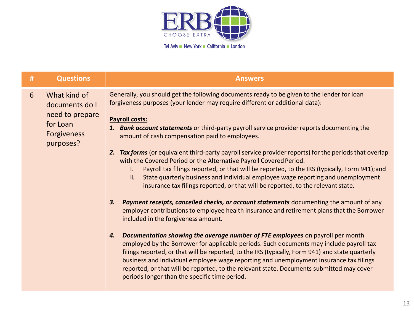

| #                | <b>Questions</b>                                                                                 | <b>Answers</b>                                                                                                                                                                                                                                                                                                                                                                                                                                                                                                                                                                                                                                                                                                                                                                                                                                                                                                                                                                                                                                                                                                                                                                                                                                                                                                                                                                                                                                                                                                                                                                                             |
|------------------|--------------------------------------------------------------------------------------------------|------------------------------------------------------------------------------------------------------------------------------------------------------------------------------------------------------------------------------------------------------------------------------------------------------------------------------------------------------------------------------------------------------------------------------------------------------------------------------------------------------------------------------------------------------------------------------------------------------------------------------------------------------------------------------------------------------------------------------------------------------------------------------------------------------------------------------------------------------------------------------------------------------------------------------------------------------------------------------------------------------------------------------------------------------------------------------------------------------------------------------------------------------------------------------------------------------------------------------------------------------------------------------------------------------------------------------------------------------------------------------------------------------------------------------------------------------------------------------------------------------------------------------------------------------------------------------------------------------------|
| $6 \overline{6}$ | What kind of<br>documents do I<br>need to prepare<br>for Loan<br><b>Forgiveness</b><br>purposes? | Generally, you should get the following documents ready to be given to the lender for loan<br>forgiveness purposes (your lender may require different or additional data):<br><b>Payroll costs:</b><br>1. Bank account statements or third-party payroll service provider reports documenting the<br>amount of cash compensation paid to employees.<br>Tax forms (or equivalent third-party payroll service provider reports) for the periods that overlap<br>2.<br>with the Covered Period or the Alternative Payroll Covered Period.<br>Payroll tax filings reported, or that will be reported, to the IRS (typically, Form 941); and<br>$\mathbf{L}$<br>State quarterly business and individual employee wage reporting and unemployment<br>II.<br>insurance tax filings reported, or that will be reported, to the relevant state.<br>Payment receipts, cancelled checks, or account statements documenting the amount of any<br>3.<br>employer contributions to employee health insurance and retirement plans that the Borrower<br>included in the forgiveness amount.<br>Documentation showing the average number of FTE employees on payroll per month<br>4.<br>employed by the Borrower for applicable periods. Such documents may include payroll tax<br>filings reported, or that will be reported, to the IRS (typically, Form 941) and state quarterly<br>business and individual employee wage reporting and unemployment insurance tax filings<br>reported, or that will be reported, to the relevant state. Documents submitted may cover<br>periods longer than the specific time period. |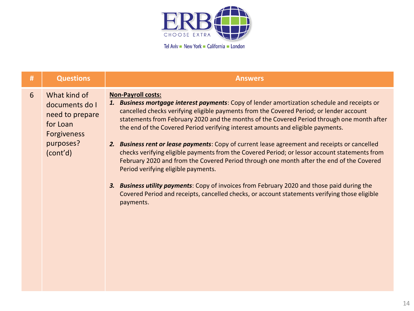

| # | <b>Questions</b>                                                                                             | <b>Answers</b>                                                                                                                                                                                                                                                                                                                                                                                                                                                                                                                                                                                                                                                                                                                                                                                                                                                                                                                                          |
|---|--------------------------------------------------------------------------------------------------------------|---------------------------------------------------------------------------------------------------------------------------------------------------------------------------------------------------------------------------------------------------------------------------------------------------------------------------------------------------------------------------------------------------------------------------------------------------------------------------------------------------------------------------------------------------------------------------------------------------------------------------------------------------------------------------------------------------------------------------------------------------------------------------------------------------------------------------------------------------------------------------------------------------------------------------------------------------------|
| 6 | What kind of<br>documents do I<br>need to prepare<br>for Loan<br><b>Forgiveness</b><br>purposes?<br>(cont'd) | <b>Non-Payroll costs:</b><br>1. Business mortgage interest payments: Copy of lender amortization schedule and receipts or<br>cancelled checks verifying eligible payments from the Covered Period; or lender account<br>statements from February 2020 and the months of the Covered Period through one month after<br>the end of the Covered Period verifying interest amounts and eligible payments.<br>2. Business rent or lease payments: Copy of current lease agreement and receipts or cancelled<br>checks verifying eligible payments from the Covered Period; or lessor account statements from<br>February 2020 and from the Covered Period through one month after the end of the Covered<br>Period verifying eligible payments.<br>3. Business utility payments: Copy of invoices from February 2020 and those paid during the<br>Covered Period and receipts, cancelled checks, or account statements verifying those eligible<br>payments. |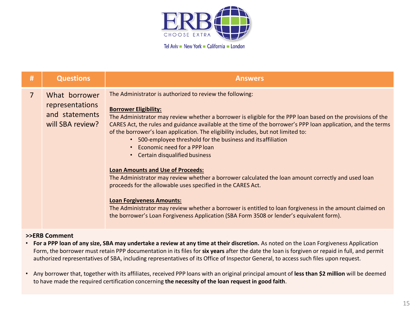

| #<br><b>Questions</b><br><b>Answers</b>                                                                                                                                                                                                                                                                                                                                                                                                                                                                                                                                                                                                                                                                                                                                                                                                                                                                                                                                                                                                                                                                               |  |
|-----------------------------------------------------------------------------------------------------------------------------------------------------------------------------------------------------------------------------------------------------------------------------------------------------------------------------------------------------------------------------------------------------------------------------------------------------------------------------------------------------------------------------------------------------------------------------------------------------------------------------------------------------------------------------------------------------------------------------------------------------------------------------------------------------------------------------------------------------------------------------------------------------------------------------------------------------------------------------------------------------------------------------------------------------------------------------------------------------------------------|--|
| The Administrator is authorized to review the following:<br>$\overline{7}$<br>What borrower<br>representations<br><b>Borrower Eligibility:</b><br>and statements<br>The Administrator may review whether a borrower is eligible for the PPP loan based on the provisions of the<br>will SBA review?<br>CARES Act, the rules and guidance available at the time of the borrower's PPP loan application, and the terms<br>of the borrower's loan application. The eligibility includes, but not limited to:<br>500-employee threshold for the business and its affiliation<br>Economic need for a PPP loan<br>$\bullet$<br>• Certain disqualified business<br><b>Loan Amounts and Use of Proceeds:</b><br>The Administrator may review whether a borrower calculated the loan amount correctly and used loan<br>proceeds for the allowable uses specified in the CARES Act.<br><b>Loan Forgiveness Amounts:</b><br>The Administrator may review whether a borrower is entitled to loan forgiveness in the amount claimed on<br>the borrower's Loan Forgiveness Application (SBA Form 3508 or lender's equivalent form). |  |

- **For a PPP loan of any size, SBA may undertake a review at any time at their discretion.** As noted on the Loan Forgiveness Application Form, the borrower must retain PPP documentation in its files for **six years** after the date the loan is forgiven or repaid in full, and permit authorized representatives of SBA, including representatives of its Office of Inspector General, to access such files upon request.
- Any borrower that, together with its affiliates, received PPP loans with an original principal amount of **less than \$2 million** will be deemed to have made the required certification concerning **the necessity of the loan request in good faith**.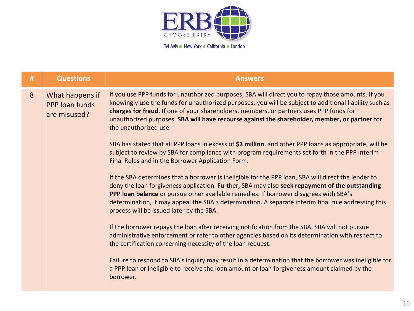

| # | <b>Questions</b>                                  | <b>Answers</b>                                                                                                                                                                                                                                                                                                                                                                                                                                    |
|---|---------------------------------------------------|---------------------------------------------------------------------------------------------------------------------------------------------------------------------------------------------------------------------------------------------------------------------------------------------------------------------------------------------------------------------------------------------------------------------------------------------------|
| 8 | What happens if<br>PPP loan funds<br>are misused? | If you use PPP funds for unauthorized purposes, SBA will direct you to repay those amounts. If you<br>knowingly use the funds for unauthorized purposes, you will be subject to additional liability such as<br>charges for fraud. If one of your shareholders, members, or partners uses PPP funds for<br>unauthorized purposes, SBA will have recourse against the shareholder, member, or partner for<br>the unauthorized use.                 |
|   |                                                   | SBA has stated that all PPP loans in excess of \$2 million, and other PPP loans as appropriate, will be<br>subject to review by SBA for compliance with program requirements set forth in the PPP Interim<br>Final Rules and in the Borrower Application Form.                                                                                                                                                                                    |
|   |                                                   | If the SBA determines that a borrower is ineligible for the PPP loan, SBA will direct the lender to<br>deny the loan forgiveness application. Further, SBA may also seek repayment of the outstanding<br>PPP loan balance or pursue other available remedies. If borrower disagrees with SBA's<br>determination, it may appeal the SBA's determination. A separate interim final rule addressing this<br>process will be issued later by the SBA. |
|   |                                                   | If the borrower repays the loan after receiving notification from the SBA, SBA will not pursue<br>administrative enforcement or refer to other agencies based on its determination with respect to<br>the certification concerning necessity of the loan request.                                                                                                                                                                                 |
|   |                                                   | Failure to respond to SBA's inquiry may result in a determination that the borrower was ineligible for<br>a PPP loan or ineligible to receive the loan amount or loan forgiveness amount claimed by the<br>borrower.                                                                                                                                                                                                                              |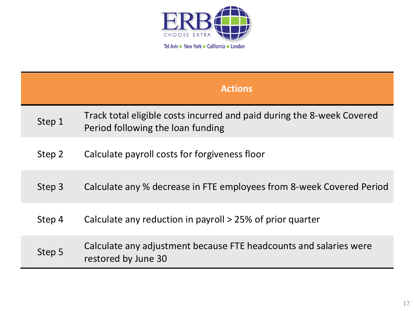

|        | <b>Actions</b>                                                                                              |
|--------|-------------------------------------------------------------------------------------------------------------|
| Step 1 | Track total eligible costs incurred and paid during the 8-week Covered<br>Period following the loan funding |
| Step 2 | Calculate payroll costs for forgiveness floor                                                               |
| Step 3 | Calculate any % decrease in FTE employees from 8-week Covered Period                                        |
| Step 4 | Calculate any reduction in payroll > 25% of prior quarter                                                   |
| Step 5 | Calculate any adjustment because FTE headcounts and salaries were<br>restored by June 30                    |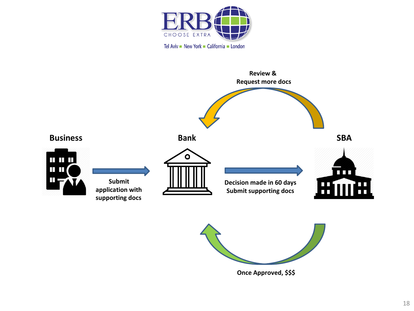





**Once Approved, \$\$\$**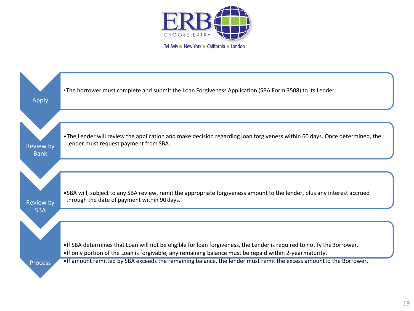

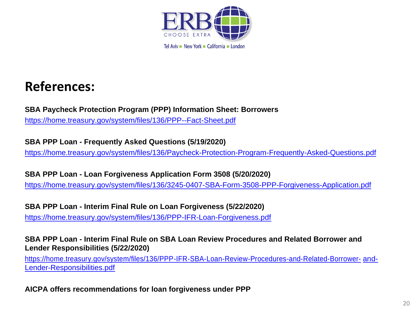

### **References:**

**SBA Paycheck Protection Program (PPP) Information Sheet: Borrowers** <https://home.treasury.gov/system/files/136/PPP--Fact-Sheet.pdf>

**SBA PPP Loan - Frequently Asked Questions (5/19/2020)**

<https://home.treasury.gov/system/files/136/Paycheck-Protection-Program-Frequently-Asked-Questions.pdf>

**SBA PPP Loan - Loan Forgiveness Application Form 3508 (5/20/2020)**

<https://home.treasury.gov/system/files/136/3245-0407-SBA-Form-3508-PPP-Forgiveness-Application.pdf>

**SBA PPP Loan - Interim Final Rule on Loan Forgiveness (5/22/2020)** <https://home.treasury.gov/system/files/136/PPP-IFR-Loan-Forgiveness.pdf>

**SBA PPP Loan - Interim Final Rule on SBA Loan Review Procedures and Related Borrower and Lender Responsibilities (5/22/2020)**

[https://home.treasury.gov/system/files/136/PPP-IFR-SBA-Loan-Review-Procedures-and-Related-Borrower-](https://home.treasury.gov/system/files/136/PPP-IFR-SBA-Loan-Review-Procedures-and-Related-Borrower-and-Lender-Responsibilities.pdf) and-[Lender-Responsibilities.pdf](https://home.treasury.gov/system/files/136/PPP-IFR-SBA-Loan-Review-Procedures-and-Related-Borrower-and-Lender-Responsibilities.pdf)

**AICPA offers recommendations for loan forgiveness under PPP**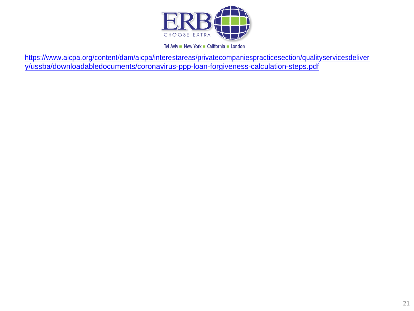

[https://www.aicpa.org/content/dam/aicpa/interestareas/privatecompaniespracticesection/qualityservicesdeliver](https://www.aicpa.org/content/dam/aicpa/interestareas/privatecompaniespracticesection/qualityservicesdelivery/ussba/downloadabledocuments/coronavirus-ppp-loan-forgiveness-calculation-steps.pdf) [y/ussba/downloadabledocuments/coronavirus-ppp-loan-forgiveness-calculation-steps.pdf](https://www.aicpa.org/content/dam/aicpa/interestareas/privatecompaniespracticesection/qualityservicesdelivery/ussba/downloadabledocuments/coronavirus-ppp-loan-forgiveness-calculation-steps.pdf)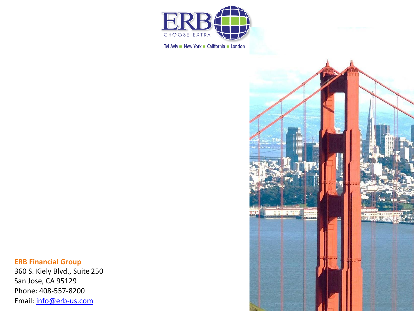

#### **ERB Financial Group**

360 S. Kiely Blvd., Suite 250 San Jose, CA 95129 Phone: 408 -557 -8200 Email: [info@erb](mailto:info@erb-us.com)-us.com